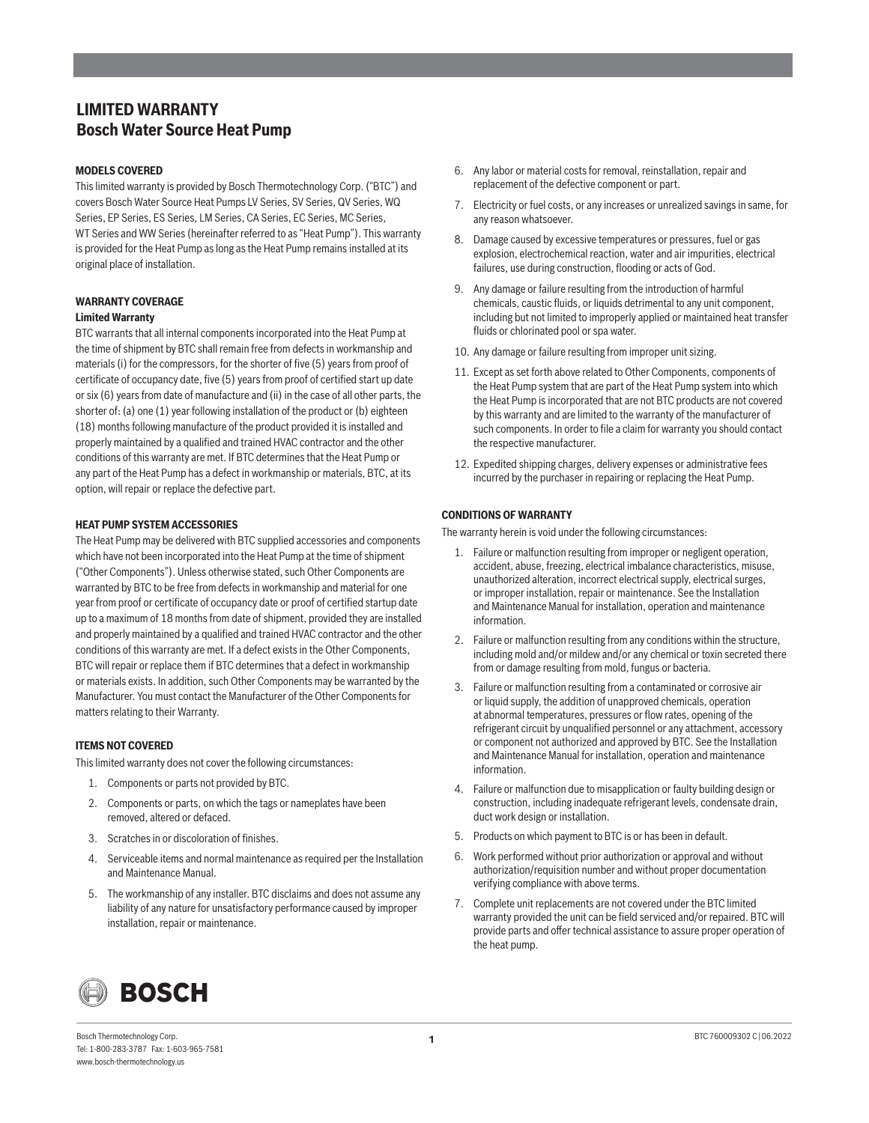# **LIMITED WARRANTY Bosch Water Source Heat Pump**

# **MODELS COVERED**

This limited warranty is provided by Bosch Thermotechnology Corp. ("BTC") and covers Bosch Water Source Heat Pumps LV Series, SV Series, QV Series, WQ Series, EP Series, ES Series, LM Series, CA Series, EC Series, MC Series, WT Series and WW Series (hereinafter referred to as "Heat Pump"). This warranty is provided for the Heat Pump as long as the Heat Pump remains installed at its original place of installation.

# **WARRANTY COVERAGE Limited Warranty**

BTC warrants that all internal components incorporated into the Heat Pump at the time of shipment by BTC shall remain free from defects in workmanship and materials (i) for the compressors, for the shorter of five (5) years from proof of certificate of occupancy date, five (5) years from proof of certified start up date or six (6) years from date of manufacture and (ii) in the case of all other parts, the shorter of: (a) one (1) year following installation of the product or (b) eighteen (18) months following manufacture of the product provided it is installed and properly maintained by a qualified and trained HVAC contractor and the other conditions of this warranty are met. If BTC determines that the Heat Pump or any part of the Heat Pump has a defect in workmanship or materials, BTC, at its option, will repair or replace the defective part.

### **HEAT PUMP SYSTEM ACCESSORIES**

The Heat Pump may be delivered with BTC supplied accessories and components which have not been incorporated into the Heat Pump at the time of shipment ("Other Components"). Unless otherwise stated, such Other Components are warranted by BTC to be free from defects in workmanship and material for one year from proof or certificate of occupancy date or proof of certified startup date up to a maximum of 18 months from date of shipment, provided they are installed and properly maintained by a qualified and trained HVAC contractor and the other conditions of this warranty are met. If a defect exists in the Other Components, BTC will repair or replace them if BTC determines that a defect in workmanship or materials exists. In addition, such Other Components may be warranted by the Manufacturer. You must contact the Manufacturer of the Other Components for matters relating to their Warranty.

#### **ITEMS NOT COVERED**

This limited warranty does not cover the following circumstances:

- 1. Components or parts not provided by BTC.
- 2. Components or parts, on which the tags or nameplates have been removed, altered or defaced.
- 3. Scratches in or discoloration of finishes.
- 4. Serviceable items and normal maintenance as required per the Installation and Maintenance Manual.
- 5. The workmanship of any installer. BTC disclaims and does not assume any liability of any nature for unsatisfactory performance caused by improper installation, repair or maintenance.
- 6. Any labor or material costs for removal, reinstallation, repair and replacement of the defective component or part.
- 7. Electricity or fuel costs, or any increases or unrealized savings in same, for any reason whatsoever.
- 8. Damage caused by excessive temperatures or pressures, fuel or gas explosion, electrochemical reaction, water and air impurities, electrical failures, use during construction, flooding or acts of God.
- 9. Any damage or failure resulting from the introduction of harmful chemicals, caustic fluids, or liquids detrimental to any unit component, including but not limited to improperly applied or maintained heat transfer fluids or chlorinated pool or spa water.
- 10. Any damage or failure resulting from improper unit sizing.
- 11. Except as set forth above related to Other Components, components of the Heat Pump system that are part of the Heat Pump system into which the Heat Pump is incorporated that are not BTC products are not covered by this warranty and are limited to the warranty of the manufacturer of such components. In order to file a claim for warranty you should contact the respective manufacturer.
- 12. Expedited shipping charges, delivery expenses or administrative fees incurred by the purchaser in repairing or replacing the Heat Pump.

# **CONDITIONS OF WARRANTY**

The warranty herein is void under the following circumstances:

- 1. Failure or malfunction resulting from improper or negligent operation, accident, abuse, freezing, electrical imbalance characteristics, misuse, unauthorized alteration, incorrect electrical supply, electrical surges, or improper installation, repair or maintenance. See the Installation and Maintenance Manual for installation, operation and maintenance information.
- 2. Failure or malfunction resulting from any conditions within the structure, including mold and/or mildew and/or any chemical or toxin secreted there from or damage resulting from mold, fungus or bacteria.
- 3. Failure or malfunction resulting from a contaminated or corrosive air or liquid supply, the addition of unapproved chemicals, operation at abnormal temperatures, pressures or flow rates, opening of the refrigerant circuit by unqualified personnel or any attachment, accessory or component not authorized and approved by BTC. See the Installation and Maintenance Manual for installation, operation and maintenance information.
- 4. Failure or malfunction due to misapplication or faulty building design or construction, including inadequate refrigerant levels, condensate drain, duct work design or installation.
- 5. Products on which payment to BTC is or has been in default.
- 6. Work performed without prior authorization or approval and without authorization/requisition number and without proper documentation verifying compliance with above terms.
- 7. Complete unit replacements are not covered under the BTC limited warranty provided the unit can be field serviced and/or repaired. BTC will provide parts and offer technical assistance to assure proper operation of the heat pump.